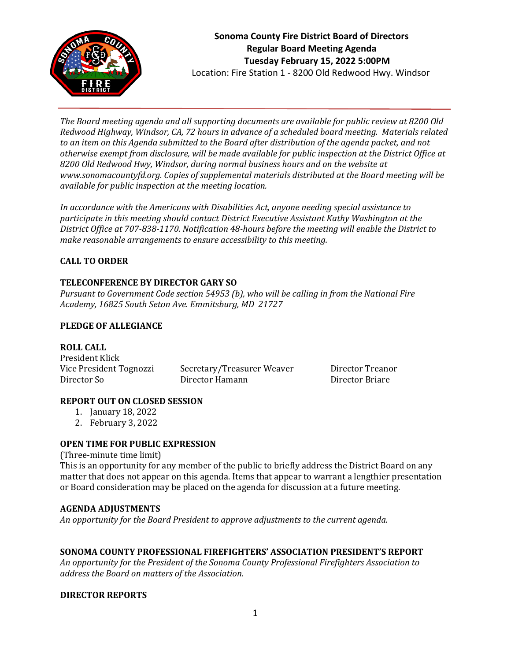

*The Board meeting agenda and all supporting documents are available for public review at 8200 Old Redwood Highway, Windsor, CA, 72 hours in advance of a scheduled board meeting. Materials related to an item on this Agenda submitted to the Board after distribution of the agenda packet, and not otherwise exempt from disclosure, will be made available for public inspection at the District Office at 8200 Old Redwood Hwy, Windsor, during normal business hours and on the website at www.sonomacountyfd.org. Copies of supplemental materials distributed at the Board meeting will be available for public inspection at the meeting location.*

*In accordance with the Americans with Disabilities Act, anyone needing special assistance to participate in this meeting should contact District Executive Assistant Kathy Washington at the District Office at 707-838-1170. Notification 48-hours before the meeting will enable the District to make reasonable arrangements to ensure accessibility to this meeting.*

# **CALL TO ORDER**

## **TELECONFERENCE BY DIRECTOR GARY SO**

*Pursuant to Government Code section 54953 (b), who will be calling in from the National Fire Academy, 16825 South Seton Ave. Emmitsburg, MD 21727*

## **PLEDGE OF ALLEGIANCE**

### **ROLL CALL**

President Klick Vice President Tognozzi Secretary/Treasurer Weaver Director Treanor Director So Director Hamann Director Briare

## **REPORT OUT ON CLOSED SESSION**

- 1. January 18, 2022
- 2. February 3, 2022

## **OPEN TIME FOR PUBLIC EXPRESSION**

(Three-minute time limit)

This is an opportunity for any member of the public to briefly address the District Board on any matter that does not appear on this agenda. Items that appear to warrant a lengthier presentation or Board consideration may be placed on the agenda for discussion at a future meeting.

## **AGENDA ADJUSTMENTS**

*An opportunity for the Board President to approve adjustments to the current agenda.*

## **SONOMA COUNTY PROFESSIONAL FIREFIGHTERS' ASSOCIATION PRESIDENT'S REPORT**

*An opportunity for the President of the Sonoma County Professional Firefighters Association to address the Board on matters of the Association.*

## **DIRECTOR REPORTS**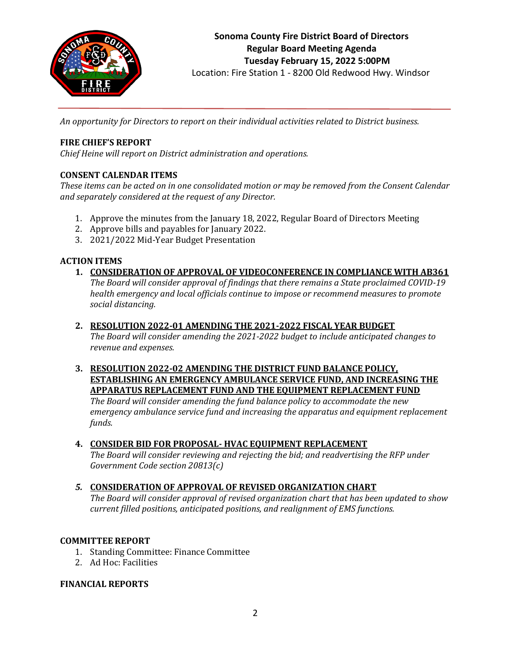

Location: Fire Station 1 - 8200 Old Redwood Hwy. Windsor

*An opportunity for Directors to report on their individual activities related to District business.*

## **FIRE CHIEF'S REPORT**

*Chief Heine will report on District administration and operations.*

## **CONSENT CALENDAR ITEMS**

*These items can be acted on in one consolidated motion or may be removed from the Consent Calendar and separately considered at the request of any Director.*

- 1. Approve the minutes from the January 18, 2022, Regular Board of Directors Meeting
- 2. Approve bills and payables for January 2022.
- 3. 2021/2022 Mid-Year Budget Presentation

## **ACTION ITEMS**

# **1. CONSIDERATION OF APPROVAL OF VIDEOCONFERENCE IN COMPLIANCE WITH AB361**

*The Board will consider approval of findings that there remains a State proclaimed COVID-19 health emergency and local officials continue to impose or recommend measures to promote social distancing.*

### **2. RESOLUTION 2022-01 AMENDING THE 2021-2022 FISCAL YEAR BUDGET**

*The Board will consider amending the 2021-2022 budget to include anticipated changes to revenue and expenses.*

**3. RESOLUTION 2022-02 AMENDING THE DISTRICT FUND BALANCE POLICY, ESTABLISHING AN EMERGENCY AMBULANCE SERVICE FUND, AND INCREASING THE APPARATUS REPLACEMENT FUND AND THE EQUIPMENT REPLACEMENT FUND**

*The Board will consider amending the fund balance policy to accommodate the new emergency ambulance service fund and increasing the apparatus and equipment replacement funds.*

## **4. CONSIDER BID FOR PROPOSAL- HVAC EQUIPMENT REPLACEMENT**

*The Board will consider reviewing and rejecting the bid; and readvertising the RFP under Government Code section 20813(c)*

### *5.* **CONSIDERATION OF APPROVAL OF REVISED ORGANIZATION CHART**

*The Board will consider approval of revised organization chart that has been updated to show current filled positions, anticipated positions, and realignment of EMS functions.*

### **COMMITTEE REPORT**

- 1. Standing Committee: Finance Committee
- 2. Ad Hoc: Facilities

### **FINANCIAL REPORTS**